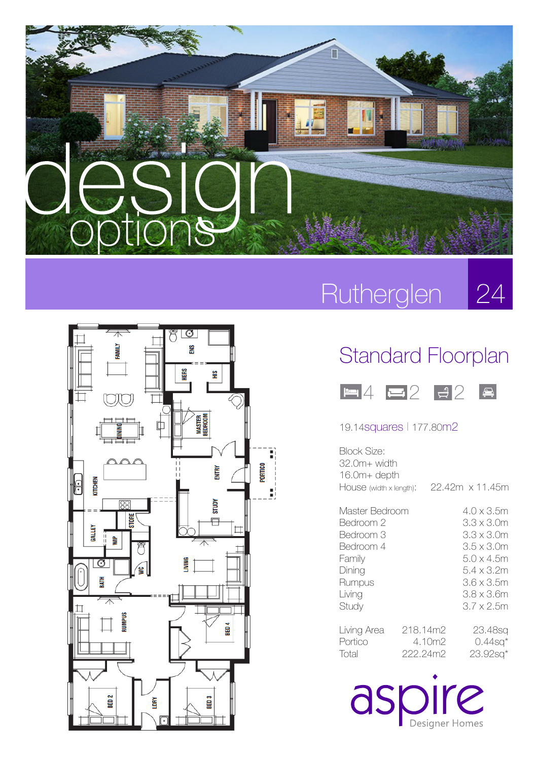



### Rutherglen 24

## Standard Floorplan



#### 19.14squares l 177.80m2

| Block Size:<br>32.0m+ width<br>16.0m+ depth                                                            |  |                                |                                                                                                                                    |
|--------------------------------------------------------------------------------------------------------|--|--------------------------------|------------------------------------------------------------------------------------------------------------------------------------|
| HOUSE (width x length):                                                                                |  |                                | 22.42m x 11.45m                                                                                                                    |
| Master Bedroom<br>Bedroom 2<br>Bedroom 3<br>Bedroom 4<br>Hamily<br>Dining<br>Rumpus<br>Living<br>Study |  |                                | 4.0 x 3.5m<br>3.3 x 3.0m<br>3.3 x 3.0m<br>3.5 x 3.0m<br>5.0 x 4.5m<br>5.4 x 3.2m<br>3.6 x 3.5m<br>3.8 x 3.6m<br>$3.7 \times 2.5$ m |
| Living Area<br>Portico<br>Total                                                                        |  | 218.14m2<br>4.10m2<br>222.24m2 | 23.48sq<br>$0.44$ sq <sup>*</sup><br>$23.92$ sa $*$                                                                                |

aspire